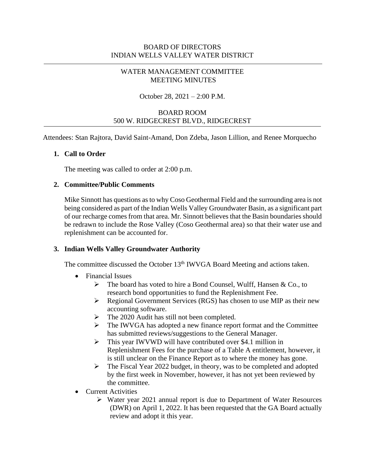## WATER MANAGEMENT COMMITTEE MEETING MINUTES

#### October 28, 2021 – 2:00 P.M.

## BOARD ROOM 500 W. RIDGECREST BLVD., RIDGECREST

Attendees: Stan Rajtora, David Saint-Amand, Don Zdeba, Jason Lillion, and Renee Morquecho

#### **1. Call to Order**

The meeting was called to order at 2:00 p.m.

#### **2. Committee/Public Comments**

Mike Sinnott has questions as to why Coso Geothermal Field and the surrounding area is not being considered as part of the Indian Wells Valley Groundwater Basin, as a significant part of our recharge comes from that area. Mr. Sinnott believes that the Basin boundaries should be redrawn to include the Rose Valley (Coso Geothermal area) so that their water use and replenishment can be accounted for.

#### **3. Indian Wells Valley Groundwater Authority**

The committee discussed the October 13<sup>th</sup> IWVGA Board Meeting and actions taken.

- Financial Issues
	- $\triangleright$  The board has voted to hire a Bond Counsel, Wulff, Hansen & Co., to research bond opportunities to fund the Replenishment Fee.
	- ➢ Regional Government Services (RGS) has chosen to use MIP as their new accounting software.
	- ➢ The 2020 Audit has still not been completed.
	- ➢ The IWVGA has adopted a new finance report format and the Committee has submitted reviews/suggestions to the General Manager.
	- ➢ This year IWVWD will have contributed over \$4.1 million in Replenishment Fees for the purchase of a Table A entitlement, however, it is still unclear on the Finance Report as to where the money has gone.
	- ➢ The Fiscal Year 2022 budget, in theory, was to be completed and adopted by the first week in November, however, it has not yet been reviewed by the committee.
- Current Activities
	- ➢ Water year 2021 annual report is due to Department of Water Resources (DWR) on April 1, 2022. It has been requested that the GA Board actually review and adopt it this year.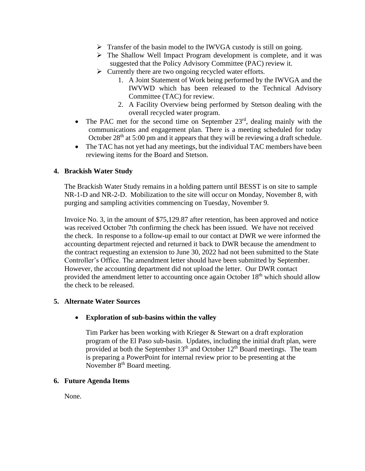- ➢ Transfer of the basin model to the IWVGA custody is still on going.
- ➢ The Shallow Well Impact Program development is complete, and it was suggested that the Policy Advisory Committee (PAC) review it.
- ➢ Currently there are two ongoing recycled water efforts.
	- 1. A Joint Statement of Work being performed by the IWVGA and the IWVWD which has been released to the Technical Advisory Committee (TAC) for review.
	- 2. A Facility Overview being performed by Stetson dealing with the overall recycled water program.
- The PAC met for the second time on September  $23<sup>rd</sup>$ , dealing mainly with the communications and engagement plan. There is a meeting scheduled for today October  $28<sup>th</sup>$  at 5:00 pm and it appears that they will be reviewing a draft schedule.
- The TAC has not yet had any meetings, but the individual TAC members have been reviewing items for the Board and Stetson.

## **4. Brackish Water Study**

The Brackish Water Study remains in a holding pattern until BESST is on site to sample NR-1-D and NR-2-D. Mobilization to the site will occur on Monday, November 8, with purging and sampling activities commencing on Tuesday, November 9.

Invoice No. 3, in the amount of \$75,129.87 after retention, has been approved and notice was received October 7th confirming the check has been issued. We have not received the check. In response to a follow-up email to our contact at DWR we were informed the accounting department rejected and returned it back to DWR because the amendment to the contract requesting an extension to June 30, 2022 had not been submitted to the State Controller's Office. The amendment letter should have been submitted by September. However, the accounting department did not upload the letter. Our DWR contact provided the amendment letter to accounting once again October 18<sup>th</sup> which should allow the check to be released.

## **5. Alternate Water Sources**

## • **Exploration of sub-basins within the valley**

Tim Parker has been working with Krieger & Stewart on a draft exploration program of the El Paso sub-basin. Updates, including the initial draft plan, were provided at both the September  $13<sup>th</sup>$  and October  $12<sup>th</sup>$  Board meetings. The team is preparing a PowerPoint for internal review prior to be presenting at the November  $8<sup>th</sup>$  Board meeting.

#### **6. Future Agenda Items**

None.